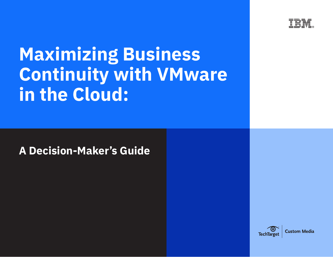

# **Maximizing Business Continuity with VMware in the Cloud:**

**A Decision-Maker's Guide**

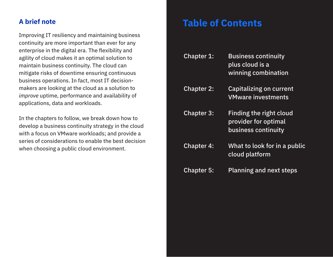### **A brief note**

Improving IT resiliency and maintaining business continuity are more important than ever for any enterprise in the digital era. The flexibility and agility of cloud makes it an optimal solution to maintain business continuity. The cloud can mitigate risks of downtime ensuring continuous business operations. In fact, most IT decisionmakers are looking at the cloud as a solution to *improve* uptime, performance and availability of applications, data and workloads.

In the chapters to follow, we break down how to develop a business continuity strategy in the cloud with a focus on VMware workloads; and provide a series of considerations to enable the best decision when choosing a public cloud environment.

### **Table of Contents**

| <b>Chapter 1:</b> | <b>Business continuity</b><br>plus cloud is a<br>winning combination   |
|-------------------|------------------------------------------------------------------------|
| <b>Chapter 2:</b> | <b>Capitalizing on current</b><br><b>VMware investments</b>            |
| <b>Chapter 3:</b> | Finding the right cloud<br>provider for optimal<br>business continuity |
| <b>Chapter 4:</b> | What to look for in a public<br>cloud platform                         |
| <b>Chapter 5:</b> | <b>Planning and next steps</b>                                         |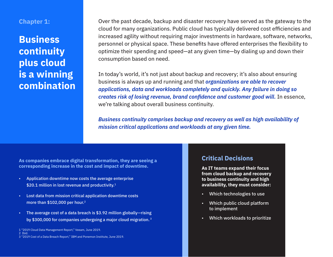### **Chapter 1:**

### **Business continuity plus cloud is a winning combination**

Over the past decade, backup and disaster recovery have served as the gateway to the cloud for many organizations. Public cloud has typically delivered cost efficiencies and increased agility without requiring major investments in hardware, software, networks, personnel or physical space. These benefits have offered enterprises the flexibility to optimize their spending and speed—at any given time—by dialing up and down their consumption based on need.

In today's world, it's not just about backup and recovery; it's also about ensuring business is always up and running and that *organizations are able to recover applications, data and workloads completely and quickly. Any failure in doing so creates risk of losing revenue, brand confidence and customer good will.* In essence, we're talking about overall business continuity.

*Business continuity comprises backup and recovery as well as high availability of mission critical applications and workloads at any given time.*

**As companies embrace digital transformation, they are seeing a corresponding increase in the cost and impact of downtime.** 

- Application downtime now costs the average enterprise \$20.1 million in lost revenue and productivity.<sup>1</sup>
- Lost data from mission critical application downtime costs more than \$102,000 per hour.<sup>2</sup>
- The average cost of a data breach is \$3.92 million globally—rising by \$300,000 for companies undergoing a major cloud migration. <sup>3</sup>

1 ["2019 Cloud Data Management Report,](https://www.veeam.com/cloud-data-management-report-2019_wp.pdf)" Veeam, June 2019.

2 Ibid.

#### **Critical Decisions**

**As IT teams expand their focus from cloud backup and recovery to business continuity and high availability, they must consider:**

- Which technologies to use
- Which public cloud platform to implement
- Which workloads to prioritize

<sup>3</sup> ["2019 Cost of a Data Breach Report,](https://www.all-about-security.de/fileadmin/micropages/Fachartikel_28/2019_Cost_of_a_Data_Breach_Report_final.pdf)" IBM and Ponemon Institute, June 2019.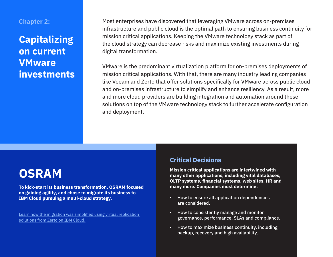#### **Chapter 2:**

### **Capitalizing on current VMware investments**

Most enterprises have discovered that leveraging VMware across on-premises infrastructure and public cloud is the optimal path to ensuring business continuity for mission critical applications. Keeping the VMware technology stack as part of the cloud strategy can decrease risks and maximize existing investments during digital transformation.

VMware is the predominant virtualization platform for on-premises deployments of mission critical applications. With that, there are many industry leading companies like Veeam and Zerto that offer solutions specifically for VMware across public cloud and on-premises infrastructure to simplify and enhance resiliency. As a result, more and more cloud providers are building integration and automation around these solutions on top of the VMware technology stack to further accelerate configuration and deployment.

# **OSRAM**

**To kick-start its business transformation, OSRAM focused on gaining agility, and chose to migrate its business to IBM Cloud pursuing a multi-cloud strategy.**

Learn how the migration was simplified using virtual replication [solutions from Zerto on IBM Cloud.](https://www.ibm.com/case-studies/osram)

### **Critical Decisions**

**Mission critical applications are intertwined with many other applications, including vital databases, OLTP systems, financial systems, web sites, HR and many more. Companies must determine:**

- How to ensure all application dependencies are considered.
- How to consistently manage and monitor governance, performance, SLAs and compliance.
- How to maximize business continuity, including backup, recovery and high availability.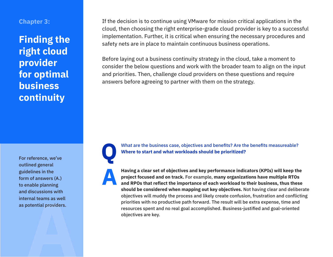### **Chapter 3:**

### **Finding the right cloud provider for optimal business continuity**

**A** For reference, we've outlined general guidelines in the form of answers (A.) to enable planning and discussions with internal teams as well as potential providers.

If the decision is to continue using VMware for mission critical applications in the cloud, then choosing the right enterprise-grade cloud provider is key to a successful implementation. Further, it is critical when ensuring the necessary procedures and safety nets are in place to maintain continuous business operations.

Before laying out a business continuity strategy in the cloud, take a moment to consider the below questions and work with the broader team to align on the input and priorities. Then, challenge cloud providers on these questions and require answers before agreeing to partner with them on the strategy.

**A Having a clear set of objectives and key performance indicators (KPIs) will keep the project focused and on track. For example, many organizations have multiple RTOs and RPOs that reflect the importance of each worklo project focused and on track.** For example, **many organizations have multiple RTOs** 

**and RPOs that reflect the importance of each workload to their business, thus these should be considered when mapping out key objectives.** Not having clear and deliberate objectives will muddy the process and likely create confusion, frustration and conflicting priorities with no productive path forward. The result will be extra expense, time and resources spent and no real goal accomplished. Business-justified and goal-oriented objectives are key.

What are the business case, objectives and benefits? Are the benefits measureable?

**Where to start and what workloads should be prioritized?**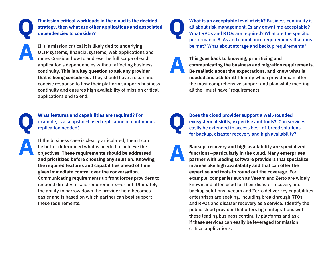If mission critical workloads in the cloud is the decided strategy, then what are other applications and associate dependencies to consider? **strategy, then what are other applications and associated dependencies to consider?**

If it is mission critical it is likely tied to underlying<br>OLTP systems, financial systems, web applications<br>more. Consider how to address the full scope of each<br>probability's dependencies without effecting busi OLTP systems, financial systems, web applications and more. Consider how to address the full scope of each application's dependencies without affecting business continuity. **This is a key question to ask any provider that is being considered.** They should have a clear and concise response to how their platform supports business continuity and ensures high availability of mission critical applications end to end.

What features and capabilities are required? For<br>example, is a snapshot-based replication or contin<br>replication needed? example, is a snapshot-based replication or continuous replication needed?

If the business case is clearly articulated, then it can<br>be better determined what is needed to achieve the<br>objectives. These requirements should be addressed<br>and prioritized before absorbed any colution. Known be better determined what is needed to achieve the objectives. **These requirements should be addressed and prioritized before choosing any solution. Knowing the required features and capabilities ahead of time gives immediate control over the conversation.** Communicating requirements up front forces providers to respond directly to said requirements—or not. Ultimately, the ability to narrow down the provider field becomes easier and is based on which partner can best support these requirements.

**What is an acceptable level of risk? Business continuity is** all about risk management. Is any downtime acceptable? What RPOs and RTOs are required? What are the specific performance SLAs and compliance requirements that must be met? What about storage and backup requirements?

This goes back to knowing, prioritizing and<br>communicating the business and migration<br>Be realistic about the expectations, and know **communicating the business and migration requirements. Be realistic about the expectations, and know what is needed and ask for it!** Identify which provider can offer the most comprehensive support and plan while meeting all the "must have" requirements.



**Does the cloud provider support a well-rounded ecosystem of skills, expertise and tools?** Can set easily be extended to access best-of-breed solution for booking disaster reservement birk availability **ecosystem of skills, expertise and tools?** Can services easily be extended to access best-of-breed solutions for backup, disaster recovery and high availability?

Backup, recovery and high availability are specialized<br>functions—particularly in the cloud. Many enterprises<br>partner with leading software providers that specialize<br>in areas like high availability and that are effective **functions—particularly in the cloud. Many enterprises partner with leading software providers that specialize in areas like high availability and that can offer the expertise and tools to round out the coverage.** For example, companies such as Veeam and Zerto are widely known and often used for their disaster recovery and backup solutions. Veeam and Zerto deliver key capabilities enterprises are seeking, including breakthrough RTOs and RPOs and disaster recovery as a service. Identify the public cloud provider that offers tight integrations with these leading business continuity platforms and ask if these services can easily be leveraged for mission critical applications.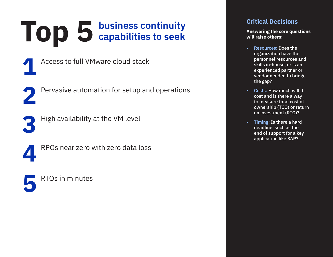# **Top 5** business continuity capabilities to seek **capabilities to seek**

Pervasive automation for setup and operations

- **1**
- Access to full VMware cloud stack
- **2**
	- High availability at the VM level
- **3**

**4**

RPOs near zero with zero data loss



### **Critical Decisions**

**Answering the core questions will raise others:** 

- Resources: Does the organization have the personnel resources and skills in-house, or is an experienced partner or vendor needed to bridge the gap?
- Costs: How much will it cost and is there a way to measure total cost of ownership (TCO) or return on investment (RTO)?
- Timing: Is there a hard deadline, such as the end of support for a key application like SAP?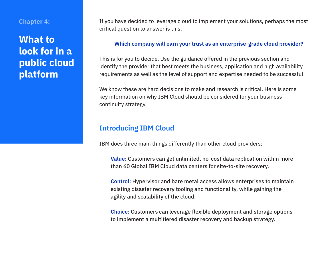#### **Chapter 4:**

### **What to look for in a public cloud platform**

If you have decided to leverage cloud to implement your solutions, perhaps the most critical question to answer is this:

#### **Which company will earn your trust as an enterprise-grade cloud provider?**

This is for you to decide. Use the guidance offered in the previous section and identify the provider that best meets the business, application and high availability requirements as well as the level of support and expertise needed to be successful.

We know these are hard decisions to make and research is critical. Here is some key information on why IBM Cloud should be considered for your business continuity strategy.

### **Introducing IBM Cloud**

IBM does three main things differently than other cloud providers:

**Value:** Customers can get unlimited, no-cost data replication within more than 60 Global IBM Cloud data centers for site-to-site recovery.

**Control:** Hypervisor and bare metal access allows enterprises to maintain existing disaster recovery tooling and functionality, while gaining the agility and scalability of the cloud.

**Choice:** Customers can leverage flexible deployment and storage options to implement a multitiered disaster recovery and backup strategy.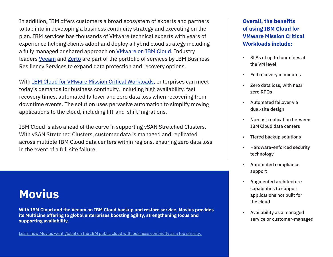In addition, IBM offers customers a broad ecosystem of experts and partners to tap into in developing a business continuity strategy and executing on the plan. IBM services has thousands of VMware technical experts with years of experience helping clients adopt and deploy a hybrid cloud strategy including a fully managed or shared approach on **VMware on IBM Cloud**. Industry leaders [Veeam](https://www.ibm.com/cloud/veeam) and [Zerto](https://www.ibm.com/cloud/zerto) are part of the portfolio of services by IBM Business Resiliency Services to expand data protection and recovery options.

With [IBM Cloud for VMware Mission Critical Workloads,](https://cloud.ibm.com/docs/services/vmwaresolutions/services?topic=vmware-solutions-mcv_overview) enterprises can meet today's demands for business continuity, including high availability, fast recovery times, automated failover and zero data loss when recovering from downtime events. The solution uses pervasive automation to simplify moving applications to the cloud, including lift-and-shift migrations.

IBM Cloud is also ahead of the curve in supporting vSAN Stretched Clusters. With vSAN Stretched Clusters, customer data is managed and replicated across multiple IBM Cloud data centers within regions, ensuring zero data loss in the event of a full site failure.

# **Movius**

**With IBM Cloud and the Veeam on IBM Cloud backup and restore service, Movius provides its MultiLine offering to global enterprises boosting agility, strengthening focus and supporting availability.**

[Learn how Movius went global on the IBM public cloud with business continuity as a top priority.](https://www.ibm.com/case-studies/movius)

**Overall, the benefits of using IBM Cloud for VMware Mission Critical Workloads include:**

- SLAs of up to four nines at the VM level
- Full recovery in minutes
- Zero data loss, with near zero RPOs
- Automated failover via dual-site design
- No-cost replication between IBM Cloud data centers
- Tiered backup solutions
- Hardware-enforced security technology
- Automated compliance support
- Augmented architecture capabilities to support applications not built for the cloud
- Availability as a managed service or customer-managed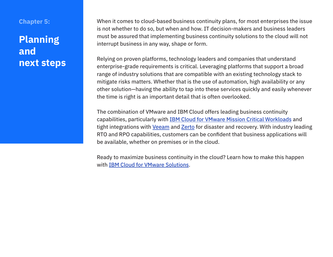### **Chapter 5:**

### **Planning and next steps**

When it comes to cloud-based business continuity plans, for most enterprises the issue is not whether to do so, but when and how. IT decision-makers and business leaders must be assured that implementing business continuity solutions to the cloud will not interrupt business in any way, shape or form.

Relying on proven platforms, technology leaders and companies that understand enterprise-grade requirements is critical. Leveraging platforms that support a broad range of industry solutions that are compatible with an existing technology stack to mitigate risks matters. Whether that is the use of automation, high availability or any other solution—having the ability to tap into these services quickly and easily whenever the time is right is an important detail that is often overlooked.

The combination of VMware and IBM Cloud offers leading business continuity capabilities, particularly with [IBM Cloud for VMware Mission Critical Workloads](https://cloud.ibm.com/docs/services/vmwaresolutions?topic=vmware-solutions-mcv_overview&locale=en%5C043science) and tight integrations with [Veeam](https://www.ibm.com/cloud/veeam) and [Zerto](https://www.ibm.com/cloud/zerto) for disaster and recovery. With industry leading RTO and RPO capabilities, customers can be confident that business applications will be available, whether on premises or in the cloud.

Ready to maximize business continuity in the cloud? Learn how to make this happen with [IBM Cloud for VMware Solutions.](https://www.ibm.com/cloud/vmware)